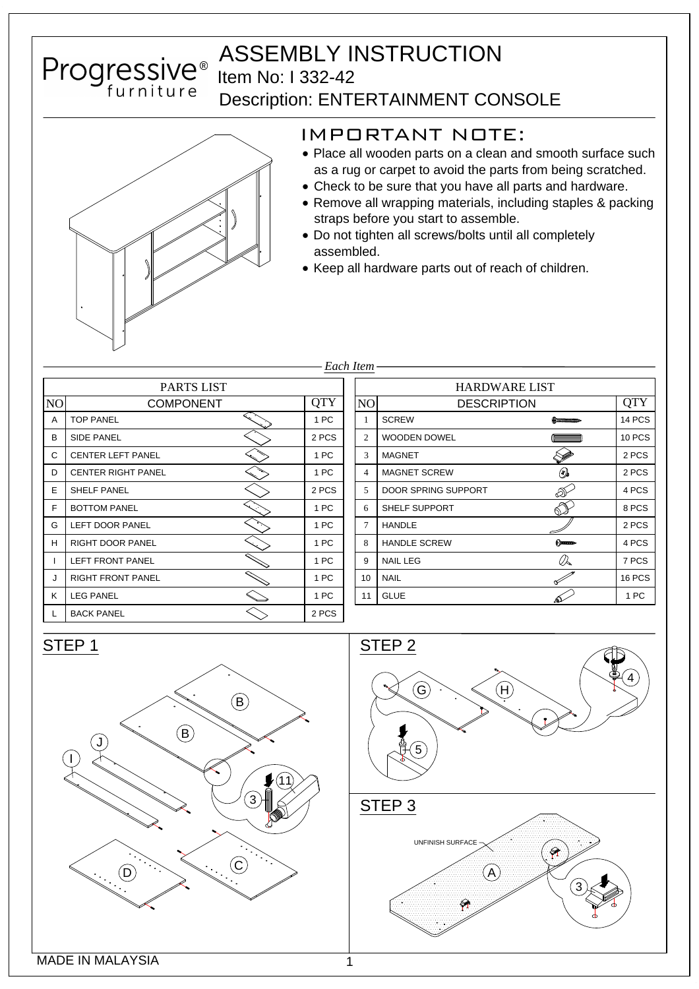



## IMPORTANT NOTE:

- Place all wooden parts on a clean and smooth surface such as a rug or carpet to avoid the parts from being scratched.
- Check to be sure that you have all parts and hardware.
- Remove all wrapping materials, including staples & packing straps before you start to assemble.
- Do not tighten all screws/bolts until all completely assembled.
- Keep all hardware parts out of reach of children.

|                   |                           |            | Each Item- |  |  |
|-------------------|---------------------------|------------|------------|--|--|
| <b>PARTS LIST</b> |                           |            |            |  |  |
| N <sub>O</sub>    | <b>COMPONENT</b>          | <b>QTY</b> | NO         |  |  |
| A                 | <b>TOP PANEL</b>          | 1 PC       | 1          |  |  |
| B                 | <b>SIDE PANEL</b>         | 2 PCS      | 2          |  |  |
| С                 | <b>CENTER LEFT PANEL</b>  | 1 PC       | 3          |  |  |
| D                 | <b>CENTER RIGHT PANEL</b> | 1 PC       | 4          |  |  |
| E                 | <b>SHELF PANEL</b>        | 2 PCS      | 5          |  |  |
| F                 | <b>BOTTOM PANEL</b>       | 1 PC       | 6          |  |  |
| G                 | <b>LEFT DOOR PANEL</b>    | 1 PC       | $\tau$     |  |  |
| н                 | RIGHT DOOR PANEL          | 1 PC       | 8          |  |  |
| L                 | <b>LEFT FRONT PANEL</b>   | 1 PC       | 9          |  |  |
| J                 | <b>RIGHT FRONT PANEL</b>  | 1 PC       | 10         |  |  |
| Κ                 | <b>LEG PANEL</b>          | 1 PC       | 11         |  |  |
| L                 | <b>BACK PANEL</b>         | 2 PCS      |            |  |  |

| PARTS LIST      |            |                          | <b>HARDWARE LIST</b>       |                       |               |  |
|-----------------|------------|--------------------------|----------------------------|-----------------------|---------------|--|
| <b>DMPONENT</b> | <b>QTY</b> | NO<br><b>DESCRIPTION</b> |                            |                       | <b>QTY</b>    |  |
|                 | 1 PC       |                          | <b>SCREW</b>               | Ammummo               | 14 PCS        |  |
|                 | 2 PCS      | 2                        | <b>WOODEN DOWEL</b>        |                       | <b>10 PCS</b> |  |
|                 | 1 PC       | 3                        | <b>MAGNET</b>              |                       | 2 PCS         |  |
| L               | 1 PC       | $\overline{4}$           | <b>MAGNET SCREW</b>        | $\circledcirc$        | 2 PCS         |  |
|                 | 2 PCS      | 5                        | <b>DOOR SPRING SUPPORT</b> | D                     | 4 PCS         |  |
|                 | 1 PC       | 6                        | <b>SHELF SUPPORT</b>       | O∼                    | 8 PCS         |  |
|                 | 1 PC       | 7                        | <b>HANDLE</b>              |                       | 2 PCS         |  |
|                 | 1 PC       | 8                        | <b>HANDLE SCREW</b>        | <b>Commun-</b>        | 4 PCS         |  |
|                 | 1 PC       | 9                        | <b>NAIL LEG</b>            | $\mathcal{Q}_\bullet$ | 7 PCS         |  |
|                 | 1 PC       | 10                       | <b>NAIL</b>                | ∝                     | 16 PCS        |  |
|                 | 1 PC       | 11                       | <b>GLUE</b>                |                       | 1 PC          |  |
| ⌒               |            |                          |                            |                       |               |  |

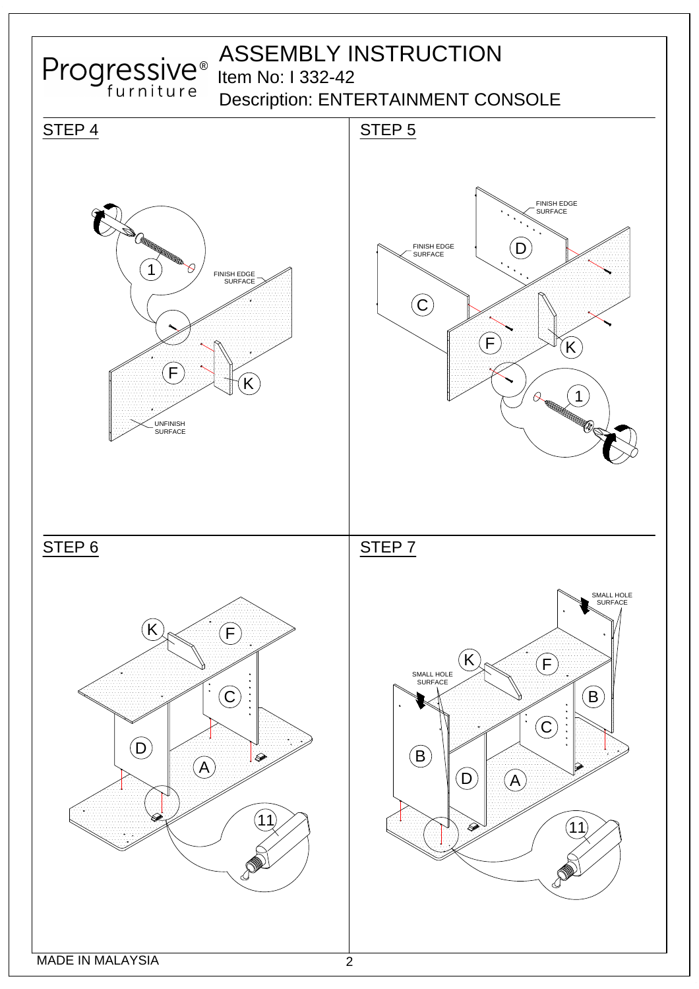